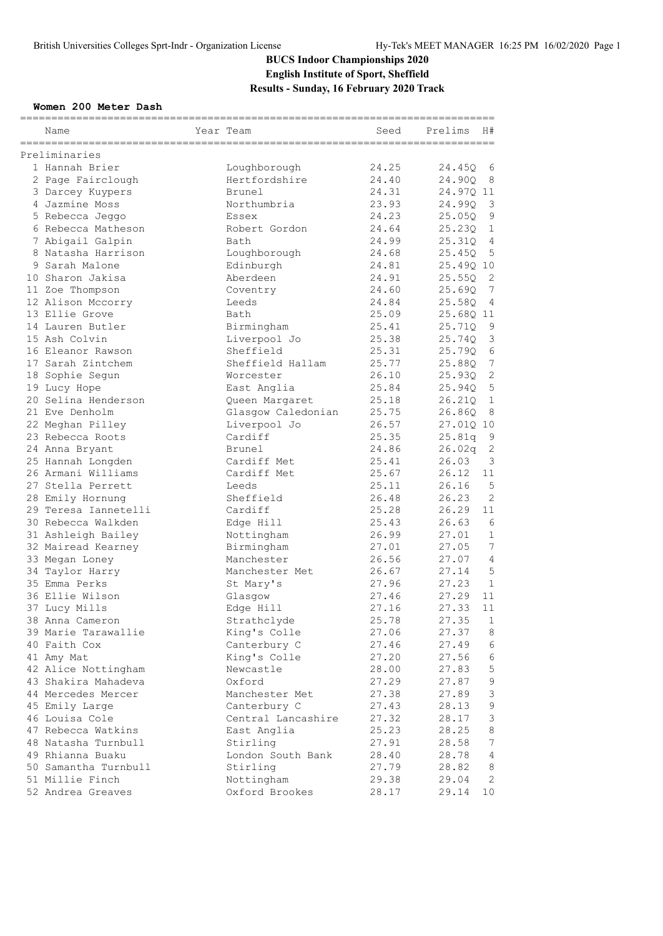#### **Women 200 Meter Dash**

| Name                 | Year Team          | Seed  | H#<br>Prelims            |
|----------------------|--------------------|-------|--------------------------|
| Preliminaries        |                    |       |                          |
| 1 Hannah Brier       | Loughborough       | 24.25 | 24.45Q<br>6              |
| 2 Page Fairclough    | Hertfordshire      | 24.40 | 24.90Q<br>8              |
| 3 Darcey Kuypers     | Brunel             | 24.31 | 24.97Q 11                |
| 4 Jazmine Moss       | Northumbria        | 23.93 | 3<br>24.99Q              |
| 5 Rebecca Jeggo      | Essex              | 24.23 | 9<br>25.05Q              |
| 6 Rebecca Matheson   | Robert Gordon      | 24.64 | 25.23Q<br>1              |
| 7 Abigail Galpin     | Bath               | 24.99 | $\overline{4}$<br>25.31Q |
| 8 Natasha Harrison   | Loughborough       | 24.68 | 25.45Q<br>5              |
| 9 Sarah Malone       | Edinburgh          | 24.81 | 25.49Q 10                |
| 10 Sharon Jakisa     | Aberdeen           | 24.91 | 2<br>25.55Q              |
| 11 Zoe Thompson      | Coventry           | 24.60 | 7<br>25.69Q              |
| 12 Alison Mccorry    | Leeds              | 24.84 | 25.58Q<br>4              |
| 13 Ellie Grove       | Bath               | 25.09 | 25.68Q 11                |
| 14 Lauren Butler     | Birmingham         | 25.41 | 25.71Q<br>9              |
| 15 Ash Colvin        | Liverpool Jo       | 25.38 | 3<br>25.74Q              |
| 16 Eleanor Rawson    | Sheffield          | 25.31 | 6<br>25.79Q              |
| 17 Sarah Zintchem    | Sheffield Hallam   | 25.77 | $\overline{7}$<br>25.88Q |
| 18 Sophie Segun      | Worcester          | 26.10 | $\mathbf{2}$<br>25.93Q   |
| 19 Lucy Hope         | East Anglia        | 25.84 | $\mathsf S$<br>25.94Q    |
| 20 Selina Henderson  | Queen Margaret     | 25.18 | $\mathbf{1}$<br>26.210   |
| 21 Eve Denholm       | Glasgow Caledonian | 25.75 | 26.86Q<br>8              |
| 22 Meghan Pilley     | Liverpool Jo       | 26.57 | 27.01Q 10                |
| 23 Rebecca Roots     | Cardiff            | 25.35 | 25.81q<br>9              |
| 24 Anna Bryant       | Brunel             | 24.86 | $\mathbf{2}$<br>26.02q   |
| 25 Hannah Longden    | Cardiff Met        | 25.41 | 3<br>26.03               |
| 26 Armani Williams   | Cardiff Met        | 25.67 | 11<br>26.12              |
| 27 Stella Perrett    | Leeds              | 25.11 | 5<br>26.16               |
| 28 Emily Hornung     | Sheffield          | 26.48 | 2<br>26.23               |
| 29 Teresa Iannetelli | Cardiff            | 25.28 | 26.29<br>11              |
| 30 Rebecca Walkden   | Edge Hill          | 25.43 | 6<br>26.63               |
| 31 Ashleigh Bailey   | Nottingham         | 26.99 | $\mathbf{1}$<br>27.01    |
| 32 Mairead Kearney   | Birmingham         | 27.01 | $7\phantom{.0}$<br>27.05 |
| 33 Megan Loney       | Manchester         | 26.56 | 27.07<br>4               |
| 34 Taylor Harry      | Manchester Met     | 26.67 | 5<br>27.14               |
| 35 Emma Perks        | St Mary's          | 27.96 | $\mathbf{1}$<br>27.23    |
| 36 Ellie Wilson      | Glasgow            | 27.46 | 27.29<br>11              |
| 37 Lucy Mills        | Edge Hill          | 27.16 | 27.33<br>11              |
| 38 Anna Cameron      | Strathclyde        | 25.78 | 27.35<br>$\mathbf{1}$    |
| 39 Marie Tarawallie  | King's Colle       | 27.06 | 27.37<br>8               |
| 40 Faith Cox         | Canterbury C       | 27.46 | 27.49<br>6               |
| 41 Amy Mat           | King's Colle       | 27.20 | 6<br>27.56               |
| 42 Alice Nottingham  | Newcastle          | 28.00 | $\mathbf 5$<br>27.83     |
| 43 Shakira Mahadeva  | Oxford             | 27.29 | $\mathsf 9$<br>27.87     |
| 44 Mercedes Mercer   | Manchester Met     | 27.38 | 3<br>27.89               |
| 45 Emily Large       | Canterbury C       | 27.43 | $\mathsf 9$<br>28.13     |
| 46 Louisa Cole       | Central Lancashire | 27.32 | $\mathsf 3$<br>28.17     |
| 47 Rebecca Watkins   | East Anglia        | 25.23 | 8<br>28.25               |
| 48 Natasha Turnbull  | Stirling           | 27.91 | $7\phantom{.0}$<br>28.58 |
| 49 Rhianna Buaku     | London South Bank  | 28.40 | $\overline{4}$<br>28.78  |
| 50 Samantha Turnbull | Stirling           | 27.79 | 8<br>28.82               |
| 51 Millie Finch      | Nottingham         | 29.38 | 29.04<br>2               |
| 52 Andrea Greaves    | Oxford Brookes     | 28.17 | 29.14<br>10              |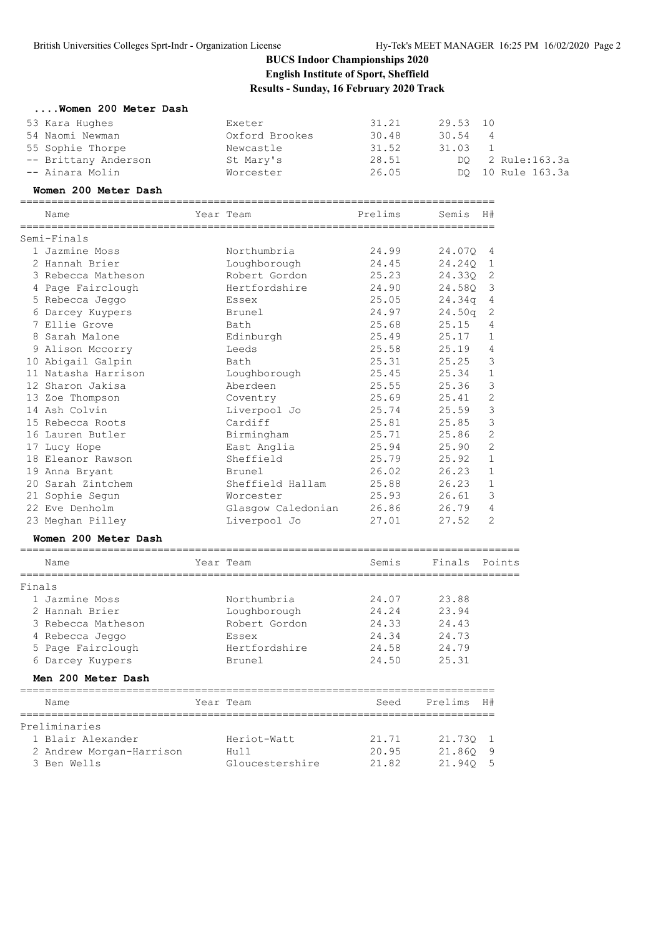|  |  |  |  | Women 200 Meter Dash |  |  |  |
|--|--|--|--|----------------------|--|--|--|
|--|--|--|--|----------------------|--|--|--|

| Exeter         | 31.21   |       |   |                      |
|----------------|---------|-------|---|----------------------|
| Oxford Brookes | 30.48   | 30.54 | 4 |                      |
| Newcastle      | 31.52   | 31.03 |   |                      |
| St Mary's      | 28.51   |       |   | DO 2 Rule:163.3a     |
| Worcester      | 26.05   |       |   | DO 10 Rule 163.3a    |
|                |         |       |   |                      |
| Year Team      | Prelims |       |   |                      |
|                |         |       |   | 29.53 10<br>Semis H# |

|        | Semi-Finals                    |                    |       |         |                |
|--------|--------------------------------|--------------------|-------|---------|----------------|
|        | 1 Jazmine Moss                 | Northumbria        | 24.99 | 24.07Q  | 4              |
|        | 2 Hannah Brier                 | Loughborough       | 24.45 | 24.240  | 1              |
|        | 3 Rebecca Matheson             | Robert Gordon      | 25.23 | 24.330  | 2              |
|        | 4 Page Fairclough              | Hertfordshire      | 24.90 | 24.580  | 3              |
|        | 5 Rebecca Jeggo                | Essex              | 25.05 | 24.34q  | 4              |
|        | 6 Darcey Kuypers               | Brunel             | 24.97 | 24.50q  | 2              |
|        | 7 Ellie Grove                  | Bath               | 25.68 | 25.15   | 4              |
|        | 8 Sarah Malone                 | Edinburgh          | 25.49 | 25.17   | 1              |
|        | 9 Alison Mccorry               | Leeds              | 25.58 | 25.19   | 4              |
|        | 10 Abigail Galpin              | Bath               | 25.31 | 25.25   | 3              |
|        | 11 Natasha Harrison            | Loughborough       | 25.45 | 25.34   | $\mathbf{1}$   |
|        | 12 Sharon Jakisa               | Aberdeen           | 25.55 | 25.36   | 3              |
|        | 13 Zoe Thompson                | Coventry           | 25.69 | 25.41   | $\mathbf{2}$   |
|        | 14 Ash Colvin                  | Liverpool Jo       | 25.74 | 25.59   | 3              |
|        | 15 Rebecca Roots               | Cardiff            | 25.81 | 25.85   | 3              |
|        | 16 Lauren Butler               | Birmingham         | 25.71 | 25.86   | $\overline{2}$ |
|        | 17 Lucy Hope                   | East Anglia        | 25.94 | 25.90   | $\overline{2}$ |
|        | 18 Eleanor Rawson              | Sheffield          | 25.79 | 25.92   | $\mathbf{1}$   |
|        | 19 Anna Bryant                 | Brunel             | 26.02 | 26.23   | 1              |
|        | 20 Sarah Zintchem              | Sheffield Hallam   | 25.88 | 26.23   | $\mathbf{1}$   |
|        | 21 Sophie Sequn                | Worcester          | 25.93 | 26.61   | 3              |
|        | 22 Eve Denholm                 | Glasgow Caledonian | 26.86 | 26.79   | 4              |
|        | 23 Meghan Pilley               | Liverpool Jo       | 27.01 | 27.52   | $\overline{2}$ |
|        | Women 200 Meter Dash           |                    |       |         |                |
|        | Name                           | Year Team          | Semis | Finals  | Points         |
| Finals |                                |                    |       |         |                |
|        | 1 Jazmine Moss                 | Northumbria        | 24.07 | 23.88   |                |
|        | 2 Hannah Brier                 | Loughborough       | 24.24 | 23.94   |                |
|        | 3 Rebecca Matheson             | Robert Gordon      | 24.33 | 24.43   |                |
|        | 4 Rebecca Jeggo                | Essex              | 24.34 | 24.73   |                |
|        | 5 Page Fairclough              | Hertfordshire      | 24.58 | 24.79   |                |
|        | 6 Darcey Kuypers               | Brunel             | 24.50 | 25.31   |                |
|        | Men 200 Meter Dash             |                    |       |         |                |
|        | Name                           | Year Team          | Seed  | Prelims | H#             |
|        | =============<br>Preliminaries | _______________    |       |         |                |
|        | 1 Blair Alexander              | Heriot-Watt        | 21.71 | 21.730  | 1              |
|        | 2 Andrew Morgan-Harrison       | Hull               | 20.95 | 21.860  | 9              |
|        | 3 Ben Wells                    | Gloucestershire    | 21.82 | 21.94Q  | 5              |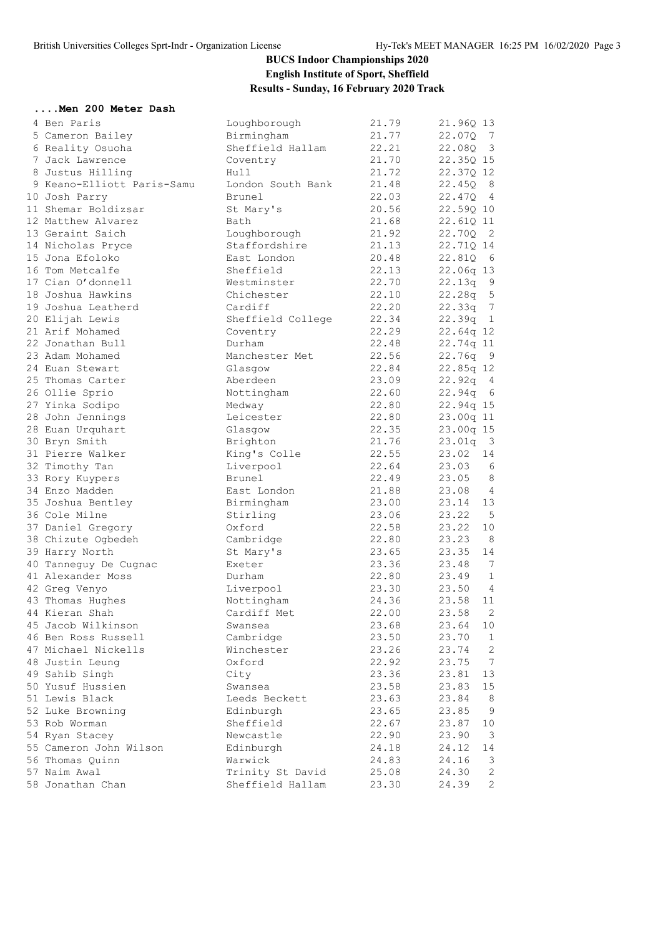#### **....Men 200 Meter Dash**

| 4 Ben Paris                | Loughborough      | 21.79 | 21.96Q 13                            |
|----------------------------|-------------------|-------|--------------------------------------|
| 5 Cameron Bailey           | Birmingham        | 21.77 | 22.070<br>$\overline{7}$             |
| 6 Reality Osuoha           | Sheffield Hallam  | 22.21 | 22.08Q<br>$\overline{\mathbf{3}}$    |
| 7 Jack Lawrence            | Coventry          | 21.70 | 22.35Q 15                            |
| 8 Justus Hilling           | Hull              | 21.72 | 22.37Q 12                            |
| 9 Keano-Elliott Paris-Samu | London South Bank | 21.48 | 22.45Q<br>8                          |
| 10 Josh Parry              | Brunel            | 22.03 | $\overline{4}$<br>22.47Q             |
| 11 Shemar Boldizsar        | St Mary's         | 20.56 | 22.59Q 10                            |
| 12 Matthew Alvarez         | Bath              | 21.68 | 22.61Q 11                            |
| 13 Geraint Saich           | Loughborough      | 21.92 | 22.70Q<br>$\overline{\phantom{0}}^2$ |
| 14 Nicholas Pryce          | Staffordshire     | 21.13 | 22.71Q 14                            |
| 15 Jona Efoloko            | East London       | 20.48 | 22.810<br>$6\overline{6}$            |
| 16 Tom Metcalfe            | Sheffield         | 22.13 | 22.06q 13                            |
| 17 Cian O'donnell          | Westminster       | 22.70 | $22.13q$ 9                           |
| 18 Joshua Hawkins          | Chichester        | 22.10 | $\overline{5}$<br>22.28q             |
| 19 Joshua Leatherd         | Cardiff           | 22.20 | 22.33q 7                             |
| 20 Elijah Lewis            | Sheffield College | 22.34 | 22.39q 1                             |
| 21 Arif Mohamed            | Coventry          | 22.29 | 22.64q 12                            |
| 22 Jonathan Bull           | Durham            | 22.48 | 22.74q 11                            |
| 23 Adam Mohamed            | Manchester Met    | 22.56 | 22.76q<br>- 9                        |
| 24 Euan Stewart            | Glasgow           | 22.84 | $22.85q$ 12                          |
| 25 Thomas Carter           | Aberdeen          | 23.09 | 22.92q<br>$\overline{4}$             |
| 26 Ollie Sprio             | Nottingham        | 22.60 | 22.94q<br>$6\overline{6}$            |
| 27 Yinka Sodipo            | Medway            | 22.80 | 22.94q 15                            |
| 28 John Jennings           | Leicester         | 22.80 | 23.00q 11                            |
| 28 Euan Urquhart           | Glasgow           | 22.35 | 23.00q 15                            |
| 30 Bryn Smith              | Brighton          | 21.76 | 23.01q<br>$\overline{\mathbf{3}}$    |
| 31 Pierre Walker           | King's Colle      | 22.55 | 23.02<br>14                          |
| 32 Timothy Tan             | Liverpool         | 22.64 | 23.03<br>6                           |
| 33 Rory Kuypers            | Brunel            | 22.49 | 23.05<br>- 8                         |
| 34 Enzo Madden             | East London       | 21.88 | 23.08<br>$\overline{4}$              |
| 35 Joshua Bentley          | Birmingham        | 23.00 | 13<br>23.14                          |
| 36 Cole Milne              | Stirling          | 23.06 | $-5$<br>23.22                        |
| 37 Daniel Gregory          | Oxford            | 22.58 | 23.22<br>10                          |
| 38 Chizute Ogbedeh         | Cambridge         | 22.80 | 23.23<br>8                           |
| 39 Harry North             | St Mary's         | 23.65 | 23.35<br>14                          |
| 40 Tanneguy De Cugnac      | Exeter            | 23.36 | 23.48<br>$\overline{7}$              |
| 41 Alexander Moss          | Durham            | 22.80 | $\mathbf{1}$<br>23.49                |
| 42 Greg Venyo              | Liverpool         | 23.30 | 23.50<br>$\overline{4}$              |
| 43 Thomas Hughes           | Nottingham        | 24.36 | 23.58<br>11                          |
| 44 Kieran Shah             | Cardiff Met       | 22.00 | $\mathbf{2}$<br>23.58                |
| 45 Jacob Wilkinson         | Swansea           | 23.68 | 23.64                                |
| 46 Ben Ross Russell        |                   |       | 10<br>23.70<br>$\mathbf{1}$          |
| 47 Michael Nickells        | Cambridge         | 23.50 |                                      |
|                            | Winchester        | 23.26 | $\mathbf{2}$<br>23.74                |
| 48 Justin Leung            | Oxford            | 22.92 | 7<br>23.75                           |
| 49 Sahib Singh             | City              | 23.36 | 13<br>23.81                          |
| 50 Yusuf Hussien           | Swansea           | 23.58 | 23.83<br>15                          |
| 51 Lewis Black             | Leeds Beckett     | 23.63 | 23.84<br>8                           |
| 52 Luke Browning           | Edinburgh         | 23.65 | 9<br>23.85                           |
| 53 Rob Worman              | Sheffield         | 22.67 | 23.87<br>10                          |
| 54 Ryan Stacey             | Newcastle         | 22.90 | 23.90<br>3                           |
| 55 Cameron John Wilson     | Edinburgh         | 24.18 | 24.12<br>14                          |
| 56 Thomas Quinn            | Warwick           | 24.83 | 24.16<br>3                           |
| 57 Naim Awal               | Trinity St David  | 25.08 | 24.30<br>2                           |
| 58 Jonathan Chan           | Sheffield Hallam  | 23.30 | $\mathbf{2}$<br>24.39                |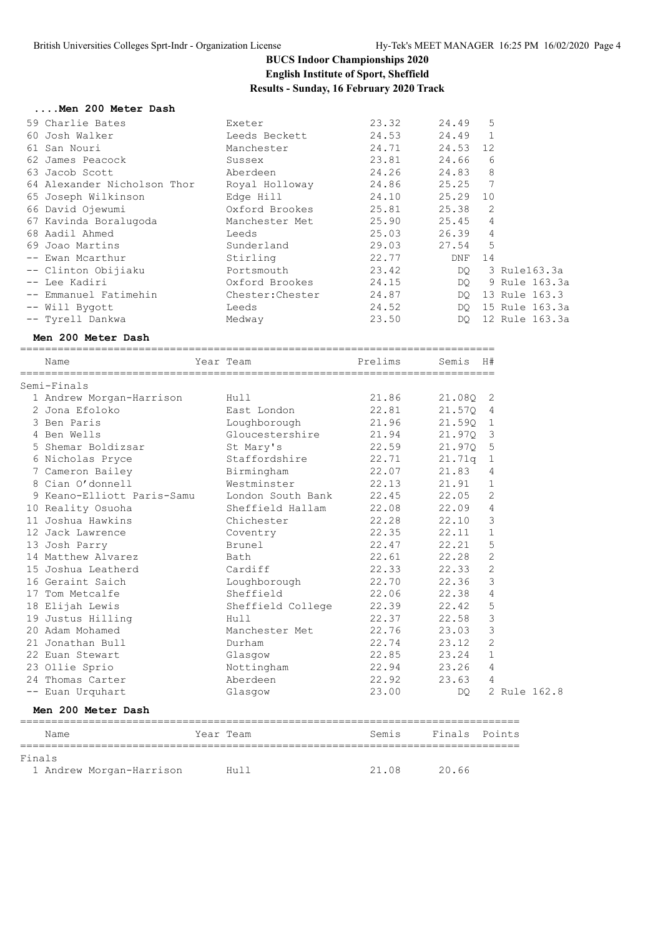#### **....Men 200 Meter Dash**

| 59 Charlie Bates            | Exeter           | 23.32 | 24.49    | 5              |                |
|-----------------------------|------------------|-------|----------|----------------|----------------|
| 60 Josh Walker              | Leeds Beckett    | 24.53 | 24.49    | $\mathbf{1}$   |                |
| 61 San Nouri                | Manchester       | 24.71 | 24.53 12 |                |                |
| 62 James Peacock            | Sussex           | 23.81 | 24.66    | 6              |                |
| 63 Jacob Scott              | Aberdeen         | 24.26 | 24.83    | 8              |                |
| 64 Alexander Nicholson Thor | Royal Holloway   | 24.86 | 25.25    | 7              |                |
| 65 Joseph Wilkinson         | Edge Hill        | 24.10 | 25.29 10 |                |                |
| 66 David Ojewumi            | Oxford Brookes   | 25.81 | 25.38    | 2              |                |
| 67 Kavinda Boralugoda       | Manchester Met   | 25.90 | 25.45    | $\overline{4}$ |                |
| 68 Aadil Ahmed              | Leeds            | 25.03 | 26.39    | $\overline{4}$ |                |
| 69 Joao Martins             | Sunderland       | 29.03 | 27.54    | 5              |                |
| -- Ewan Mcarthur            | Stirling         | 22.77 | DNF      | 14             |                |
| -- Clinton Obijiaku         | Portsmouth       | 23.42 | DO       |                | 3 Rule163.3a   |
| -- Lee Kadiri               | Oxford Brookes   | 24.15 | DQ.      |                | 9 Rule 163.3a  |
| -- Emmanuel Fatimehin       | Chester: Chester | 24.87 | DO.      |                | 13 Rule 163.3  |
| -- Will Bygott              | Leeds            | 24.52 | DO.      |                | 15 Rule 163.3a |
| -- Tyrell Dankwa            | Medway           | 23.50 | DO.      |                | 12 Rule 163.3a |

#### **Men 200 Meter Dash**

==================

| Semis<br>H# |                |
|-------------|----------------|
|             |                |
| 21.080 2    |                |
| 21.570 4    |                |
| 21.590 1    |                |
| 21.970 3    |                |
| 21.970 5    |                |
| $21.71q$ 1  |                |
| 21.83       | 4              |
| 21.91       | $\mathbf{1}$   |
| 22.05       | 2              |
| 22.09       | $\overline{4}$ |
| 22.10       | 3              |
| 22.11       | $\mathbf 1$    |
| 22.21       | 5              |
| 22.28       | 2              |
| 22.33       | 2              |
| 22.36       | 3              |
| 22.38       | $\overline{4}$ |
| 22.42       | 5              |
| 22.58       | 3              |
| 23.03       | 3              |
| 23.12       | $\overline{2}$ |
| 23.24       | $\mathbf{1}$   |
| 23.26       | 4              |
| 23.63       | 4              |
| DO.         | 2 Rule 162.8   |
|             |                |
| Finals      | Points         |
|             |                |

1 Andrew Morgan-Harrison Hull 21.08 20.66